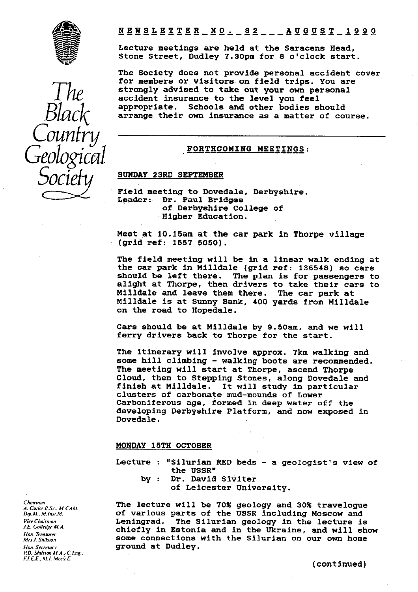

**NEWSLETTER NO. 82 AUGUST 1990** 

Lecture meetings are held at the Saracens Head, Stone Street, Dudley 7.30pm for 8 o'clock start.

The Society does not provide personal accident cover for members or visitors on field trips. You are strongly **advised** to take out your own personal accident insurance to the level you feel appropriate. Schools and other bodies should arrange their own insurance as a matter of course.

## **FORTHCOMING MEETINGS:**

# **SUNDAY** 23RD SEPTEMBER

Field meeting to Dovedale, Derbyshire.<br>Leader: Dr. Paul Bridges Dr. Paul Bridges of Derbyshire College of Higher Education.

Meet at 10.15am at the car park in Thorpe village (grid ref: 1557 5050).

**The field** meeting will be in a linear walk ending at the car park in Milldale (grid ref: 136548) so cars should be left there. The plan is for passengers to alight at Thorpe, then drivers to take their cars to **Milldale** and leave them there. The car park at Milidale is at Sunny Bank, 400 yards from Milldale on the road to Hopedale.

Cars should be at Milldale by 9.50am, and we will ferry drivers back to Thorpe for the start.

The itinerary **will** involve approx. 7km walking and some hill climbing - walking boots are recommended. The meeting will start at Thorpe, ascend Thorpe Cloud, then to Stepping Stones, along Dovedale and finish at Milldale. It will study in particular clusters of carbonate mud-mounds of Lower Carboniferous age, formed in deep water off the developing Derbyshire Platform, and now exposed in Dovedale.

#### MONDAY 15TH OCTOBER

Lecture : "Silurian RED beds - a geologist's view of the USSR"

- by : Dr. David Siviter
	- of Leicester University.

The lecture will be 70% geology and 30% travelogue of various parts of the USSR including Moscow and Leningrad. The Silurian geology in the lecture is chiefly in Estonia and in the Ukraine, and will show some connections with the Silurian on our own home ground at Dudley.

Chairman A. CuderB.Sc.. M.C.4M.. Dip.M.. M.lnsr.M. Vice Chairman J.E. Golledge M.A. Hon. Treasurer Mrs J. Shilsron Hon. Secretary P.D. Shilsion M.A.: *C.Eng..* F.I.E.E., M.I. Mech.E.

*The Black Counfry Geological Socie*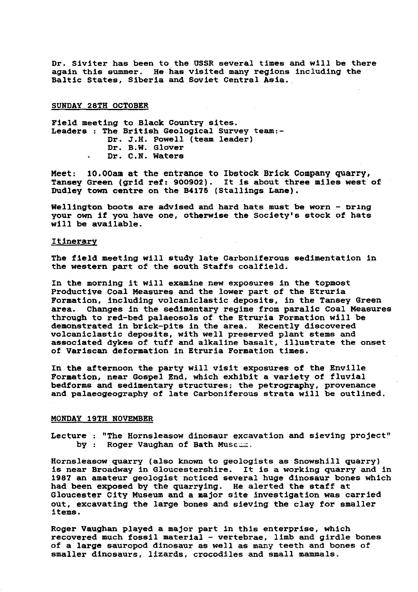Dr. Siviter has been to the USSR several times and will be there again this summer. He has visited many regions including the Baltic States, Siberia and Soviet Central Asia.

SUNDAY 28TH OCTOBER

Field meeting to Black Country sites. Leaders : The British Geological Survey team:-Dr. J.H. Powell (team leader) Dr. B.W. Glover Dr. C.N. Waters

Meet: 10.00am at the entrance to Ibstock Brick Company quarry, Tansey Green (grid ref: 900902). It is about three miles west of Dudley town centre on the **B4175** (Stallings Lane).

Wellington boots are advised and hard hats must be worn - bring your own if you have one, otherwise the Society's stock of hats will be available.

## **Itinerary**

The field meeting will study late Carboniferous sedimentation in the western part of the south Staffs coalfield.

In the morning it will examine new exposures in the topmost **Productive** Coal Measures and the lower part of the Etruria Formation, including **volcaniclastic** deposits, in the Tansey Green Changes in the sedimentary regime from paralic Coal Measures through to red-bed palaeosols of the Etruria Formation will be demonstrated in brick-pits in the area. Recently discovered **volcaniclastic** deposits, with well preserved plant stems and associated dykes of tuff and alkaline basalt, illustrate the **onset of Variscan deformation in Etruria Formation times.**

**In the afternoon the party will visit** exposures of the Enville Formation, near Gospel End, which exhibit a variety of fluvial bedforms and sedimentary structures; the petrography, provenance and palaeogeography of late Carboniferous strata will be outlined.

#### MONDAY 19TH NOVEMBER

Lecture : "The Hornsleasow dinosaur excavation and sieving project" by : Roger Vaughan of Bath Museum.

Hornsleasow quarry (also *known to* geologists as Snowshill quarry) is near Broadway in Gloucestershire. It is a working quarry and In 1987 an amateur geologist noticed several huge dinosaur bones which had been exposed by the quarrying. He alerted the staff at Gloucester City Museum and a major site **investigation was carried** out, excavating the large bones and sieving the clay for smaller items.

Roger Vaughan played a major part in this enterprise, which recovered much fossil material - vertebrae, limb and girdle bones of a large sauropod dinosaur as well as many teeth and bones of smaller dinosaurs, lizards, crocodiles and small mammals.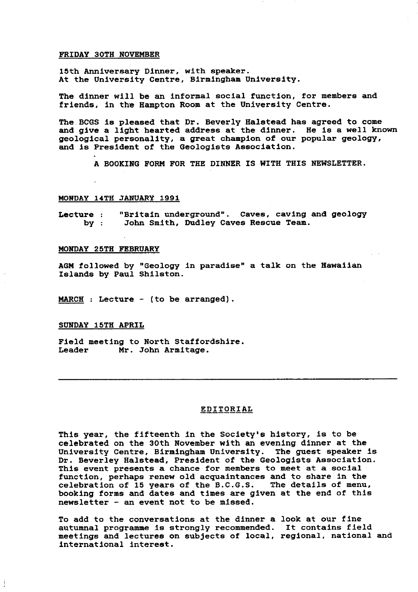## FRIDAY 30TH NOVEMBER

15th Anniversary Dinner, with speaker. At the University Centre, Birmingham University.

The dinner will be an informal social function, for members and friends, in the Hampton Room at the University Centre.

The.BCGS is pleased that Dr. Beverly Halstead has agreed to come and give a light hearted address at the dinner. He is a well known geological personality, a great champion of our popular geology, and is President of the Geologists Association.

A BOOKING FORM FOR THE DINNER IS WITH THIS NEWSLETTER.

#### MONDAY 14TH JANUARY 1991

Lecture : "Britain underground". Caves, caving and geology<br>by : John Smith, Dudley Caves Rescue Team. John Smith, Dudley Caves Rescue Team.

#### MONDAY 25TH FEBRUARY

AGM followed by "Geology in paradise" a talk on the Hawaiian Islands by Paul Shllston.

MARCH : Lecture - (to be arranged).

#### SUNDAY 15TH APRI

Field meeting to North Staffordshire.<br>Leader Mr. John Armitage. Mr. John Armitage.

## EDITORIAL

This year, the fifteenth in the Society's history, is to be celebrated on the 30th November with an evening dinner at the<br>University Centre, Birmingham University. The guest speaker is University Centre, Birmingham University. Dr. Beverley Halstead, President of the Geologists Association. This event presents a chance for members to meet at a social function, perhaps renew old acquaintances and to share in the celebration of 15 years of the B.C.G.S. The details of menu, celebration of  $15$  years of the  $B.C.G.S.$ booking forms and dates and times are given at the end of this newsletter - an event not to be missed.

To add to the conversations at the dinner a look at our fine autumnal programme is strongly recommended. It contains field meetings and lectures on subjects of **local, regional, national and international interest.**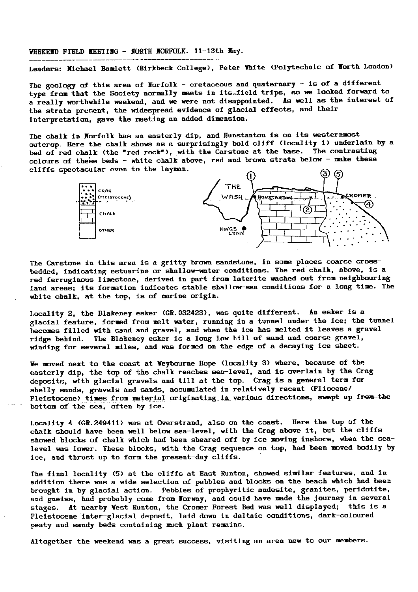#### WEEKEND FIELD MEETING - NORTH NORFOLK. 11-13th May.

Leaders: Xichael Bamlett (Birkbeck College), Peter Yhite (Polytechnic of Worth London)

The geology of this area of Norfolk - cretaceous and quaternary - is of a different type from that the Society normally meets in its.field trips, so we looked forward to a really worthwhile weekend, and we were not disappointed. As well as the interest of the strata present, the widespread evidence of glacial effects, and their interpretation, gave the meeting an added dimension.

The chalk in Norfolk has an easterly dip, and Hunstanton is on its westernmost outcrop. Here the chalk shows as a surprisingly bold cliff (locality 1) underlain by a bed of red chalk (the "red rock"), with the Carstone at the base. The contrasting colours of these beds - white chalk above, red and brown strata below - make these cliffs spectacular even to the layman.



The Carstone in this area is a gritty brown sandstone, in some places coarse crossbedded, indicating estuarine or shallow-water conditions. The red chalk, above, is a red ferruginous limestone, derived in part from laterite washed out from neighbouring land areas; its formation indicates stable shallow-sea conditions for a long time. The white chalk, at the top, is of marine origin.

Locality 2, the Blakeney esker (GR.032423), was quite different. An esker is a glacial feature, formed from melt water, running in a tunnel under the ice; the tunnel becomes filled with sand and gravel, and when the ice has melted it leaves a gravel ridge behind. The Blakeney esker is a long low hill of sand and coarse gravel, winding for several miles, and was formed on the edge of a decaying ice sheet.

We moved next to the coast at Veybourne Hope (locality 3) where, because of the easterly dip, the top of the chalk reaches sea-level, and is overlain by the Crag deposits, with glacial gravels and till at the top. Crag is a general term for shelly sands, gravels and sands, accumulated in relatively recent (Pliocene/ Pleistocene) times from material originating in various directions, swept up-from-the bottom of the sea, often by ice.

Locality 4 (GR.249411) was at Overstrand, also on the coast. Here the top of the chalk should have been well below sea-level, with the Crag above it, but the cliffs showed blocks of chalk which had been sheared off by ice moving inshore, when the sealevel was lower. These blocks, with the Crag sequence on top, had been moved bodily by ice, and thrust up to form the present-day cliffs.

The final locality (5) at the cliffs at East Runton, showed similar features, and in addition there was a wide selection of pebbles and blocks on the beach which had been brought in by glacial action. Pebbles of prophyritic audesite, granites, peridotite, and gneiss, had probably come from Norway, and could have made the journey in several stages. At nearby Vest Runton, the Cromer Forest Bed was well displayed; this is a Pleistocene inter-glacial deposit, laid down in deltaic conditions, dark-coloured peaty and sandy beds containing much plant remains.

Altogether the weekend was a great success, visiting an area new to our members.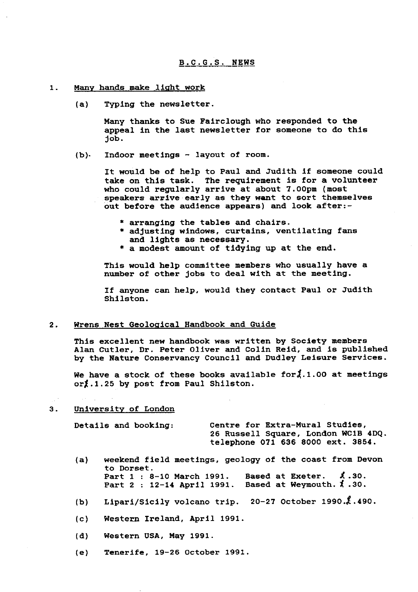- 1. Many hands make *light work*
	- (a) *Typing the* newsletter.

Many thanks to Sue Fairclough who responded to the appeal in the last newsletter for someone to do this job.

(b). Indoor meetings - layout of room.

It would be of help to Paul and Judith if someone could take on this task. The requirement is for a volunteer who could regularly arrive at about 7.00pm (most speakers arrive early as they want to sort themselves out before the audience appears) and look after:-

- \* arranging the tables and chairs.
- \* adjusting windows, curtains, ventilating fans and lights as necessary.
- \* a modest amount of tidying up at the end.

This would help committee members who usually have a number of other jobs to deal with at the meeting.

If anyone can help, would they contact Paul or Judith Shilston.

#### 2. Wrens Nest Geological Handbook and Guide

This excellent new handbook was written by Society members Alan Cutler, Dr. Peter Oliver and Colin Reid, and is published by the Nature Conservancy Council and Dudley Leisure Services.

We have a stock of these books available for  $\tilde{\lambda}$ .1.00 at meetings  $or \nless 1.25$  by post from Paul Shilston.

#### 3. Universit<sup>y</sup> of London

Details and booking: Centre for Extra-Mural Studies, 26 Russell Square, London WC1B 4DQ. telephone 071 636 8000 ext. 3854.

- (a) weekend field meetings, geology of the coast from Devon to Dorset. Part  $1 : 8-10$  March 1991. Based at Exeter.  $\lambda$ .30. Part 2 : 12-14 April 1991. Based at Weymouth.  $\sharp$ .30.
- (b) Lipari/Sicily volcano trip. 20-27 October 1990. $\ell$ .490.
- (c) Western Ireland, April 1991.
- (d) Western USA, May 1991.
- (e) Tenerife, 19-26 October 1991.